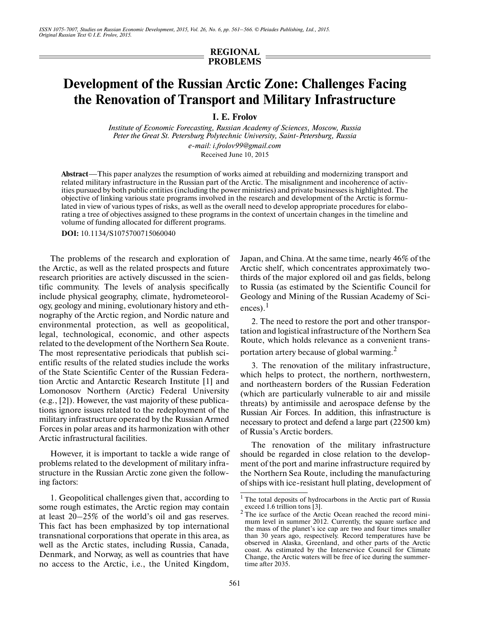## **REGIONAL PROBLEMS**

# **Development of the Russian Arctic Zone: Challenges Facing the Renovation of Transport and Military Infrastructure**

**I. E. Frolov**

*Institute of Economic Forecasting, Russian Academy of Sciences, Moscow, Russia Peter the Great St. Petersburg Polytechnic University, Saint-Petersburg, Russia e-mail: i.frolov99@gmail.com*

Received June 10, 2015

**Abstract**—This paper analyzes the resumption of works aimed at rebuilding and modernizing transport and related military infrastructure in the Russian part of the Arctic. The misalignment and incoherence of activ ities pursued by both public entities (including the power ministries) and private businesses is highlighted. The objective of linking various state programs involved in the research and development of the Arctic is formu lated in view of various types of risks, as well as the overall need to develop appropriate procedures for elabo rating a tree of objectives assigned to these programs in the context of uncertain changes in the timeline and volume of funding allocated for different programs.

**DOI:** 10.1134/S1075700715060040

The problems of the research and exploration of the Arctic, as well as the related prospects and future research priorities are actively discussed in the scien tific community. The levels of analysis specifically include physical geography, climate, hydrometeorol ogy, geology and mining, evolutionary history and eth nography of the Arctic region, and Nordic nature and environmental protection, as well as geopolitical, legal, technological, economic, and other aspects related to the development of the Northern Sea Route. The most representative periodicals that publish sci entific results of the related studies include the works of the State Scientific Center of the Russian Federa tion Arctic and Antarctic Research Institute [1] and Lomonosov Northern (Arctic) Federal University (e.g., [2]). However, the vast majority of these publica tions ignore issues related to the redeployment of the military infrastructure operated by the Russian Armed Forces in polar areas and its harmonization with other Arctic infrastructural facilities.

However, it is important to tackle a wide range of problems related to the development of military infra structure in the Russian Arctic zone given the follow ing factors:

1. Geopolitical challenges given that, according to some rough estimates, the Arctic region may contain at least 20–25% of the world's oil and gas reserves. This fact has been emphasized by top international transnational corporations that operate in this area, as well as the Arctic states, including Russia, Canada, Denmark, and Norway, as well as countries that have no access to the Arctic, i.e., the United Kingdom, Japan, and China. At the same time, nearly 46% of the Arctic shelf, which concentrates approximately two thirds of the major explored oil and gas fields, belong to Russia (as estimated by the Scientific Council for Geology and Mining of the Russian Academy of Sci ences). $<sup>1</sup>$ </sup>

2. The need to restore the port and other transpor tation and logistical infrastructure of the Northern Sea Route, which holds relevance as a convenient trans portation artery because of global warming.<sup>2</sup>

3. The renovation of the military infrastructure, which helps to protect, the northern, northwestern, and northeastern borders of the Russian Federation (which are particularly vulnerable to air and missile threats) by antimissile and aerospace defense by the Russian Air Forces. In addition, this infrastructure is necessary to protect and defend a large part (22500 km) of Russia's Arctic borders.

The renovation of the military infrastructure should be regarded in close relation to the develop ment of the port and marine infrastructure required by the Northern Sea Route, including the manufacturing of ships with ice-resistant hull plating, development of

<sup>&</sup>lt;sup>1</sup> The total deposits of hydrocarbons in the Arctic part of Russia exceed 1.6 trillion tons [3].

<sup>&</sup>lt;sup>2</sup> The ice surface of the Arctic Ocean reached the record minimum level in summer 2012. Currently, the square surface and the mass of the planet's ice cap are two and four times smaller than 30 years ago, respectively. Record temperatures have be observed in Alaska, Greenland, and other parts of the Arctic coast. As estimated by the Interservice Council for Climate Change, the Arctic waters will be free of ice during the summer time after 2035.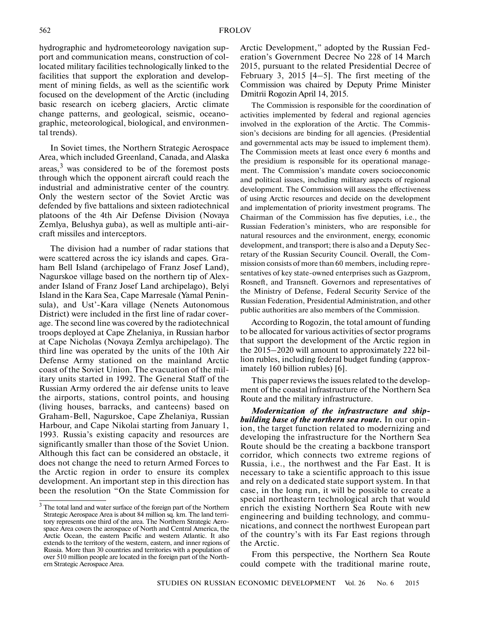hydrographic and hydrometeorology navigation sup port and communication means, construction of col located military facilities technologically linked to the facilities that support the exploration and develop ment of mining fields, as well as the scientific work focused on the development of the Arctic (including basic research on iceberg glaciers, Arctic climate change patterns, and geological, seismic, oceano graphic, meteorological, biological, and environmen tal trends).

In Soviet times, the Northern Strategic Aerospace Area, which included Greenland, Canada, and Alaska areas, $3$  was considered to be of the foremost posts through which the opponent aircraft could reach the industrial and administrative center of the country. Only the western sector of the Soviet Arctic was defended by five battalions and sixteen radiotechnical platoons of the 4th Air Defense Division (Novaya Zemlya, Belushya guba), as well as multiple anti-air craft missiles and interceptors.

The division had a number of radar stations that were scattered across the icy islands and capes. Gra ham Bell Island (archipelago of Franz Josef Land), Nagurskoe village based on the northern tip of Alex ander Island of Franz Josef Land archipelago), Belyi Island in the Kara Sea, Cape Marresale (Yamal Penin sula), and Ust'-Kara village (Nenets Autonomous District) were included in the first line of radar cover age. The second line was covered by the radiotechnical troops deployed at Cape Zhelaniya, in Russian harbor at Cape Nicholas (Novaya Zemlya archipelago). The third line was operated by the units of the 10th Air Defense Army stationed on the mainland Arctic coast of the Soviet Union. The evacuation of the mil itary units started in 1992. The General Staff of the Russian Army ordered the air defense units to leave the airports, stations, control points, and housing (living houses, barracks, and canteens) based on Graham-Bell, Nagurskoe, Cape Zhelaniya, Russian Harbour, and Cape Nikolai starting from January 1, 1993. Russia's existing capacity and resources are significantly smaller than those of the Soviet Union. Although this fact can be considered an obstacle, it does not change the need to return Armed Forces to the Arctic region in order to ensure its complex development. An important step in this direction has been the resolution "On the State Commission for

Arctic Development," adopted by the Russian Fed eration's Government Decree No 228 of 14 March 2015, pursuant to the related Presidential Decree of February 3, 2015 [4–5]. The first meeting of the Commission was chaired by Deputy Prime Minister Dmitrii Rogozin April 14, 2015.

The Commission is responsible for the coordination of activities implemented by federal and regional agencies involved in the exploration of the Arctic. The Commis sion's decisions are binding for all agencies. (Presidential and governmental acts may be issued to implement them). The Commission meets at least once every 6 months and the presidium is responsible for its operational manage ment. The Commission's mandate covers socioeconomic and political issues, including military aspects of regional development. The Commission will assess the effectiveness of using Arctic resources and decide on the development and implementation of priority investment programs. The Chairman of the Commission has five deputies, i.e., the Russian Federation's ministers, who are responsible for natural resources and the environment, energy, economic development, and transport; there is also and a Deputy Sec retary of the Russian Security Council. Overall, the Com mission consists of more than 60 members, including repre sentatives of key state-owned enterprises such as Gazprom, Rosneft, and Transneft. Governors and representatives of the Ministry of Defense, Federal Security Service of the Russian Federation, Presidential Administration, and other public authorities are also members of the Commission.

According to Rogozin, the total amount of funding to be allocated for various activities of sector programs that support the development of the Arctic region in the 2015–2020 will amount to approximately 222 bil lion rubles, including federal budget funding (approx imately 160 billion rubles) [6].

This paper reviews the issues related to the develop ment of the coastal infrastructure of the Northern Sea Route and the military infrastructure.

*Modernization of the infrastructure and ship building base of the northern sea route.* In our opin ion, the target function related to modernizing and developing the infrastructure for the Northern Sea Route should be the creating a backbone transport corridor, which connects two extreme regions of Russia, i.e., the northwest and the Far East. It is necessary to take a scientific approach to this issue and rely on a dedicated state support system. In that case, in the long run, it will be possible to create a special northeastern technological arch that would enrich the existing Northern Sea Route with new engineering and building technology, and commu nications, and connect the northwest European part of the country's with its Far East regions through the Arctic.

From this perspective, the Northern Sea Route could compete with the traditional marine route,

<sup>3</sup> The total land and water surface of the foreign part of the Northern Strategic Aerospace Area is about 84 million sq. km. The land terri tory represents one third of the area. The Northern Strategic Aero space Area covers the aerospace of North and Central America, the Arctic Ocean, the eastern Pacific and western Atlantic. It also extends to the territory of the western, eastern, and inner regions of Russia. More than 30 countries and territories with a population of over 510 million people are located in the foreign part of the North ern Strategic Aerospace Area.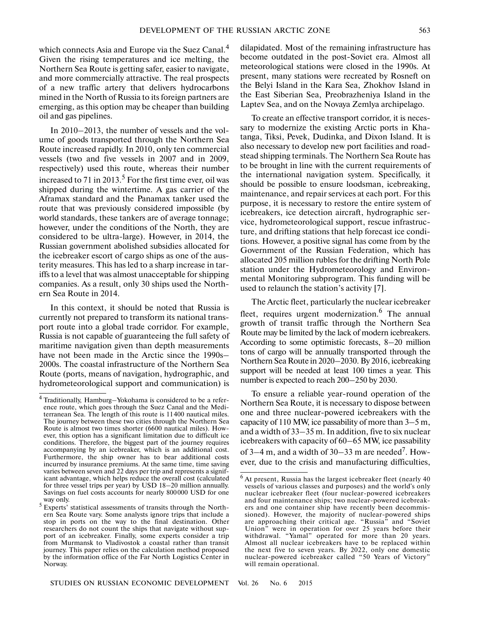which connects Asia and Europe via the Suez Canal.<sup>4</sup> Given the rising temperatures and ice melting, the Northern Sea Route is getting safer, easier to navigate, and more commercially attractive. The real prospects of a new traffic artery that delivers hydrocarbons mined in the North of Russia to its foreign partners are emerging, as this option may be cheaper than building oil and gas pipelines.

In 2010–2013, the number of vessels and the vol ume of goods transported through the Northern Sea Route increased rapidly. In 2010, only ten commercial vessels (two and five vessels in 2007 and in 2009, respectively) used this route, whereas their number increased to 71 in 2013.<sup>5</sup> For the first time ever, oil was shipped during the wintertime. A gas carrier of the Aframax standard and the Panamax tanker used the route that was previously considered impossible (by world standards, these tankers are of average tonnage; however, under the conditions of the North, they are considered to be ultra-large). However, in 2014, the Russian government abolished subsidies allocated for the icebreaker escort of cargo ships as one of the aus terity measures. This has led to a sharp increase in tar iffs to a level that was almost unacceptable for shipping companies. As a result, only 30 ships used the North ern Sea Route in 2014.

In this context, it should be noted that Russia is currently not prepared to transform its national trans port route into a global trade corridor. For example, Russia is not capable of guaranteeing the full safety of maritime navigation given than depth measurements have not been made in the Arctic since the 1990s– 2000s. The coastal infrastructure of the Northern Sea Route (ports, means of navigation, hydrographic, and hydrometeorological support and communication) is dilapidated. Most of the remaining infrastructure has become outdated in the post-Soviet era. Almost all meteorological stations were closed in the 1990s. At present, many stations were recreated by Rosneft on the Belyi Island in the Kara Sea, Zhokhov Island in the East Siberian Sea, Preobrazheniya Island in the Laptev Sea, and on the Novaya Zemlya archipelago.

To create an effective transport corridor, it is neces sary to modernize the existing Arctic ports in Kha tanga, Tiksi, Pevek, Dudinka, and Dixon Island. It is also necessary to develop new port facilities and road stead shipping terminals. The Northern Sea Route has to be brought in line with the current requirements of the international navigation system. Specifically, it should be possible to ensure loodsman, icebreaking, maintenance, and repair services at each port. For this purpose, it is necessary to restore the entire system of icebreakers, ice detection aircraft, hydrographic ser vice, hydrometeorological support, rescue infrastruc ture, and drifting stations that help forecast ice condi tions. However, a positive signal has come from by the Government of the Russian Federation, which has allocated 205 million rubles for the drifting North Pole station under the Hydrometeorology and Environ mental Monitoring subprogram. This funding will be used to relaunch the station's activity [7].

The Arctic fleet, particularly the nuclear icebreaker fleet, requires urgent modernization. <sup>6</sup> The annual growth of transit traffic through the Northern Sea Route may be limited by the lack of modern icebreakers. According to some optimistic forecasts, 8–20 million tons of cargo will be annually transported through the Northern Sea Route in 2020–2030. By 2016, icebreaking support will be needed at least 100 times a year. This number is expected to reach 200–250 by 2030.

To ensure a reliable year-round operation of the Northern Sea Route, it is necessary to dispose between one and three nuclear-powered icebreakers with the capacity of 110 MW, ice passability of more than 3–5 m, and a width of 33–35 m. In addition, five to six nuclear icebreakers with capacity of 60–65 MW, ice passability of 3–4 m, and a width of 30–33 m are needed<sup>7</sup>. However, due to the crisis and manufacturing difficulties,

<sup>&</sup>lt;sup>4</sup> Traditionally, Hamburg-Yokohama is considered to be a reference route, which goes through the Suez Canal and the Medi terranean Sea. The length of this route is 11400 nautical miles. The journey between these two cities through the Northern Sea Route is almost two times shorter (6600 nautical miles). How ever, this option has a significant limitation due to difficult ice conditions. Therefore, the biggest part of the journey requires accompanying by an icebreaker, which is an additional cost. Furthermore, the ship owner has to bear additional costs incurred by insurance premiums. At the same time, time saving varies between seven and 22 days per trip and represents a signif icant advantage, which helps reduce the overall cost (calculated for three vessel trips per year) by USD 18–20 million annually. Savings on fuel costs accounts for nearly 800000 USD for one way only.

<sup>&</sup>lt;sup>5</sup> Experts' statistical assessments of transits through the Northern Sea Route vary. Some analysts ignore trips that include a stop in ports on the way to the final destination. Other researchers do not count the ships that navigate without sup port of an icebreaker. Finally, some experts consider a trip from Murmansk to Vladivostok a coastal rather than transit journey. This paper relies on the calculation method proposed by the information office of the Far North Logistics Center in Norway.

 $6$  At present, Russia has the largest icebreaker fleet (nearly 40) vessels of various classes and purposes) and the world's only nuclear icebreaker fleet (four nuclear-powered icebreakers and four maintenance ships; two nuclear-powered icebreak ers and one container ship have recently been decommis sioned). However, the majority of nuclear-powered ships are approaching their critical age. "Russia" and "Soviet Union" were in operation for over 25 years before their withdrawal. "Yamal" operated for more than 20 years. Almost all nuclear icebreakers have to be replaced within the next five to seven years. By 2022, only one domestic nuclear-powered icebreaker called "50 Years of Victory" will remain operational.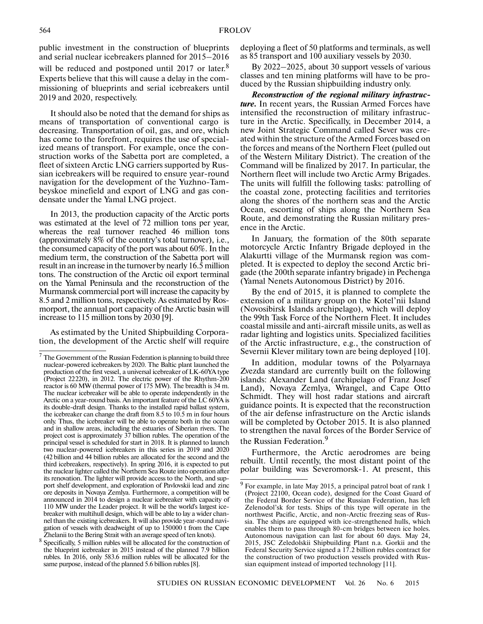public investment in the construction of blueprints and serial nuclear icebreakers planned for 2015–2016 will be reduced and postponed until 2017 or later.<sup>8</sup> Experts believe that this will cause a delay in the com missioning of blueprints and serial icebreakers until 2019 and 2020, respectively.

It should also be noted that the demand for ships as means of transportation of conventional cargo is decreasing. Transportation of oil, gas, and ore, which has come to the forefront, requires the use of special ized means of transport. For example, once the con struction works of the Sabetta port are completed, a fleet of sixteen Arctic LNG carriers supported by Rus sian icebreakers will be required to ensure year-round navigation for the development of the Yuzhno-Tam beyskoe minefield and export of LNG and gas con densate under the Yamal LNG project.

In 2013, the production capacity of the Arctic ports was estimated at the level of 72 million tons per year, whereas the real turnover reached 46 million tons (approximately 8% of the country's total turnover), i.e., the consumed capacity of the port was about 60%. In the medium term, the construction of the Sabetta port will result in an increase in the turnover by nearly 16.5 million tons. The construction of the Arctic oil export terminal on the Yamal Peninsula and the reconstruction of the Murmansk commercial port will increase the capacity by 8.5 and 2 million tons, respectively. As estimated by Ros morport, the annual port capacity of the Arctic basin will increase to 115 million tons by 2030 [9].

As estimated by the United Shipbuilding Corpora tion, the development of the Arctic shelf will require deploying a fleet of 50 platforms and terminals, as well as 85 transport and 100 auxiliary vessels by 2030.

By 2022–2025, about 30 support vessels of various classes and ten mining platforms will have to be pro duced by the Russian shipbuilding industry only.

*Reconstruction of the regional military infrastruc ture.* In recent years, the Russian Armed Forces have intensified the reconstruction of military infrastruc ture in the Arctic. Specifically, in December 2014, a new Joint Strategic Command called Sever was cre ated within the structure of the Armed Forces based on the forces and means of the Northern Fleet (pulled out of the Western Military District). The creation of the Command will be finalized by 2017. In particular, the Northern fleet will include two Arctic Army Brigades. The units will fulfill the following tasks: patrolling of the coastal zone, protecting facilities and territories along the shores of the northern seas and the Arctic Ocean, escorting of ships along the Northern Sea Route, and demonstrating the Russian military pres ence in the Arctic.

In January, the formation of the 80th separate motorcycle Arctic Infantry Brigade deployed in the Alakurtti village of the Murmansk region was com pleted. It is expected to deploy the second Arctic bri gade (the 200th separate infantry brigade) in Pechenga (Yamal Nenets Autonomous District) by 2016.

By the end of 2015, it is planned to complete the extension of a military group on the Kotel'nii Island (Novosibirsk Islands archipelago), which will deploy the 99th Task Force of the Northern Fleet. It includes coastal missile and anti-aircraft missile units, as well as radar lighting and logistics units. Specialized facilities of the Arctic infrastructure, e.g., the construction of Severnii Klever military town are being deployed [10].

In addition, modular towns of the Polyarnaya Zvezda standard are currently built on the following islands: Alexander Land (archipelago of Franz Josef Land), Novaya Zemlya, Wrangel, and Cape Otto Schmidt. They will host radar stations and aircraft guidance points. It is expected that the reconstruction of the air defense infrastructure on the Arctic islands will be completed by October 2015. It is also planned to strengthen the naval forces of the Border Service of

the Russian Federation.<sup>9</sup>

Furthermore, the Arctic aerodromes are being rebuilt. Until recently, the most distant point of the polar building was Severomorsk-1. At present, this

 $7$  The Government of the Russian Federation is planning to build three nuclear-powered icebreakers by 2020. The Baltic plant launched the production of the first vessel, a universal icebreaker of LK-60YA type (Project 22220), in 2012. The electric power of the Rhythm-200 reactor is 60 MW (thermal power of 175 MW). The breadth is 34 m. The nuclear icebreaker will be able to operate independently in the Arctic on a year-round basis. An important feature of the LC 60YA is its double-draft design. Thanks to the installed rapid ballast system, the icebreaker can change the draft from 8.5 to 10.5 m in four hours only. Thus, the icebreaker will be able to operate both in the ocean and in shallow areas, including the estuaries of Siberian rivers. The project cost is approximately 37 billion rubles. The operation of the principal vessel is scheduled for start in 2018. It is planned to launch two nuclear-powered icebreakers in this series in 2019 and 2020 (42 billion and 44 billion rubles are allocated for the second and the third icebreakers, respectively). In spring 2016, it is expected to put the nuclear lighter called the Northern Sea Route into operation after its renovation. The lighter will provide access to the North, and sup port shelf development, and exploration of Pavlovskii lead and zinc ore deposits in Novaya Zemlya. Furthermore, a competition will be announced in 2014 to design a nuclear icebreaker with capacity of 110 MW under the Leader project. It will be the world's largest ice breaker with multihull design, which will be able to lay a wider chan nel than the existing icebreakers. It will also provide year-round navi gation of vessels with deadweight of up to 150000 t from the Cape Zhelanii to the Bering Strait with an average speed of ten knots).

<sup>8</sup> Specifically, 5 million rubles will be allocated for the construction of the blueprint icebreaker in 2015 instead of the planned 7.9 billion rubles. In 2016, only 583.6 million rubles will be allocated for the same purpose, instead of the planned 5.6 billion rubles [8].

For example, in late May 2015, a principal patrol boat of rank 1 (Project 22100, Ocean code), designed for the Coast Guard of the Federal Border Service of the Russian Federation, has left Zelenodol'sk for tests. Ships of this type will operate in the northwest Pacific, Arctic, and non-Arctic freezing seas of Rus sia. The ships are equipped with ice-strengthened hulls, which enables them to pass through 80-cm bridges between ice holes. Autonomous navigation can last for about 60 days. May 24, 2015, JSC Zeledolskii Shipbuilding Plant n.a. Gorkii and the Federal Security Service signed a 17.2 billion rubles contract for the construction of two production vessels provided with Rus sian equipment instead of imported technology [11].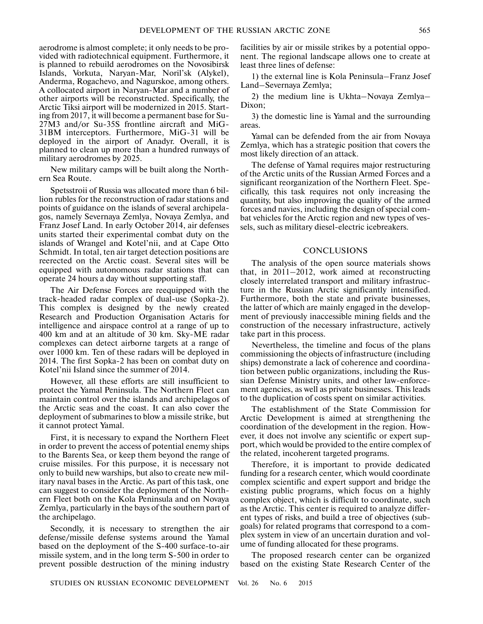aerodrome is almost complete; it only needs to be pro vided with radiotechnical equipment. Furthermore, it is planned to rebuild aerodromes on the Novosibirsk Islands, Vorkuta, Naryan-Mar, Noril'sk (Alykel), Anderma, Rogachevo, and Nagurskoe, among others. A collocated airport in Naryan-Mar and a number of other airports will be reconstructed. Specifically, the Arctic Tiksi airport will be modernized in 2015. Start ing from 2017, it will become a permanent base for Su- 27M3 and/or Su-35S frontline aircraft and MiG- 31BM interceptors. Furthermore, MiG-31 will be deployed in the airport of Anadyr. Overall, it is planned to clean up more than a hundred runways of military aerodromes by 2025.

New military camps will be built along the North ern Sea Route.

Spetsstroii of Russia was allocated more than 6 bil lion rubles for the reconstruction of radar stations and points of guidance on the islands of several archipela gos, namely Severnaya Zemlya, Novaya Zemlya, and Franz Josef Land. In early October 2014, air defenses units started their experimental combat duty on the islands of Wrangel and Kotel'nii, and at Cape Otto Schmidt. In total, ten air target detection positions are reerected on the Arctic coast. Several sites will be equipped with autonomous radar stations that can operate 24 hours a day without supporting staff.

The Air Defense Forces are reequipped with the track-headed radar complex of dual-use (Sopka-2). This complex is designed by the newly created Research and Production Organisation Actaris for intelligence and airspace control at a range of up to 400 km and at an altitude of 30 km. Sky-ME radar complexes can detect airborne targets at a range of over 1000 km. Ten of these radars will be deployed in 2014. The first Sopka-2 has been on combat duty on Kotel'nii Island since the summer of 2014.

However, all these efforts are still insufficient to protect the Yamal Peninsula. The Northern Fleet can maintain control over the islands and archipelagos of the Arctic seas and the coast. It can also cover the deployment of submarines to blow a missile strike, but it cannot protect Yamal.

First, it is necessary to expand the Northern Fleet in order to prevent the access of potential enemy ships to the Barents Sea, or keep them beyond the range of cruise missiles. For this purpose, it is necessary not only to build new warships, but also to create new mil itary naval bases in the Arctic. As part of this task, one can suggest to consider the deployment of the North ern Fleet both on the Kola Peninsula and on Novaya Zemlya, particularly in the bays of the southern part of the archipelago.

Secondly, it is necessary to strengthen the air defense/missile defense systems around the Yamal based on the deployment of the S-400 surface-to-air missile system, and in the long term S-500 in order to prevent possible destruction of the mining industry

facilities by air or missile strikes by a potential oppo nent. The regional landscape allows one to create at least three lines of defense:

1) the external line is Kola Peninsula–Franz Josef Land–Severnaya Zemlya;

2) the medium line is Ukhta–Novaya Zemlya– Dixon;

3) the domestic line is Yamal and the surrounding areas.

Yamal can be defended from the air from Novaya Zemlya, which has a strategic position that covers the most likely direction of an attack.

The defense of Yamal requires major restructuring of the Arctic units of the Russian Armed Forces and a significant reorganization of the Northern Fleet. Spe cifically, this task requires not only increasing the quantity, but also improving the quality of the armed forces and navies, including the design of special com bat vehicles for the Arctic region and new types of ves sels, such as military diesel-electric icebreakers.

#### **CONCLUSIONS**

The analysis of the open source materials shows that, in 2011–2012, work aimed at reconstructing closely interrelated transport and military infrastruc ture in the Russian Arctic significantly intensified. Furthermore, both the state and private businesses, the latter of which are mainly engaged in the develop ment of previously inaccessible mining fields and the construction of the necessary infrastructure, actively take part in this process.

Nevertheless, the timeline and focus of the plans commissioning the objects of infrastructure (including ships) demonstrate a lack of coherence and coordina tion between public organizations, including the Rus sian Defense Ministry units, and other law-enforce ment agencies, as well as private businesses. This leads to the duplication of costs spent on similar activities.

The establishment of the State Commission for Arctic Development is aimed at strengthening the coordination of the development in the region. How ever, it does not involve any scientific or expert sup port, which would be provided to the entire complex of the related, incoherent targeted programs.

Therefore, it is important to provide dedicated funding for a research center, which would coordinate complex scientific and expert support and bridge the existing public programs, which focus on a highly complex object, which is difficult to coordinate, such as the Arctic. This center is required to analyze differ ent types of risks, and build a tree of objectives (sub goals) for related programs that correspond to a com plex system in view of an uncertain duration and vol ume of funding allocated for these programs.

The proposed research center can be organized based on the existing State Research Center of the